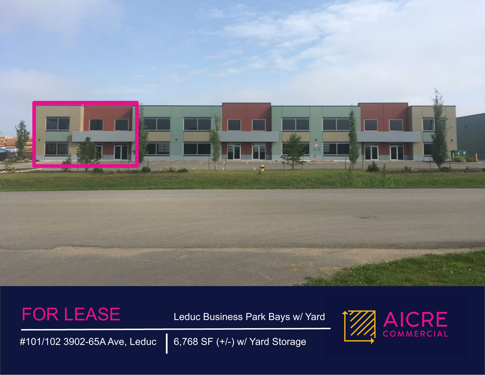

FOR LEASE Leduc Business Park Bays w/ Yard



#101/102 3902-65A Ave, Leduc 6,768 SF (+/-) w/ Yard Storage |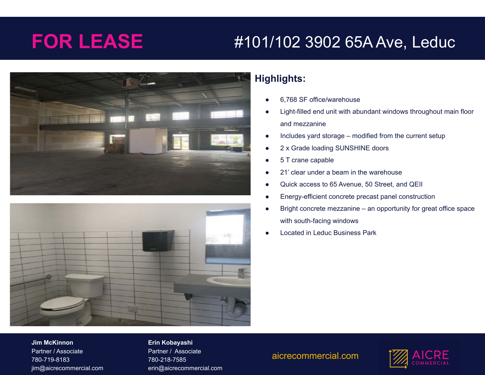# **FOR LEASE** #101/102 3902 65A Ave, Leduc





## **Highlights:**

- 6,768 SF office/warehouse
- Light-filled end unit with abundant windows throughout main floor and mezzanine
- Includes yard storage modified from the current setup
- 2 x Grade loading SUNSHINE doors
- 5 T crane capable
- 21' clear under a beam in the warehouse
- Quick access to 65 Avenue, 50 Street, and QEII
- Energy-efficient concrete precast panel construction
- Bright concrete mezzanine an opportunity for great office space with south-facing windows
- **Located in Leduc Business Park**

**Company phone number // Company address // Company website** jim@aicrecommercial.com **Jim McKinnon** Partner / Associate 780-719-8183

#### **Erin Kobayashi**

Partner / Associate 780-218-7585 erin@aicrecommercial.com

### aicrecommercial.com

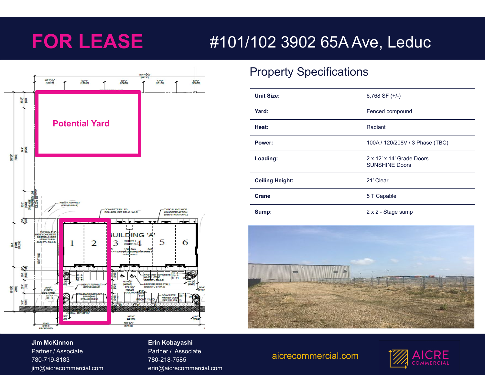# **FOR LEASE** #101/102 3902 65A Ave, Leduc



# Property Specifications

| <b>Unit Size:</b>      | 6,768 SF $(+/-)$                                   |
|------------------------|----------------------------------------------------|
| Yard:                  | Fenced compound                                    |
| Heat:                  | Radiant                                            |
| Power:                 | 100A / 120/208V / 3 Phase (TBC)                    |
| Loading:               | 2 x 12' x 14' Grade Doors<br><b>SUNSHINE Doors</b> |
| <b>Ceiling Height:</b> | 21' Clear                                          |
| <b>Crane</b>           | 5 T Capable                                        |
| Sump:                  | 2 x 2 - Stage sump                                 |



### **Jim McKinnon** Partner / Associate

## **Company phone number // Company address // Company website** jim@aicrecommercial.com 780-719-8183

### **Erin Kobayashi**

Partner / Associate 780-218-7585 erin@aicrecommercial.com

### aicrecommercial.com